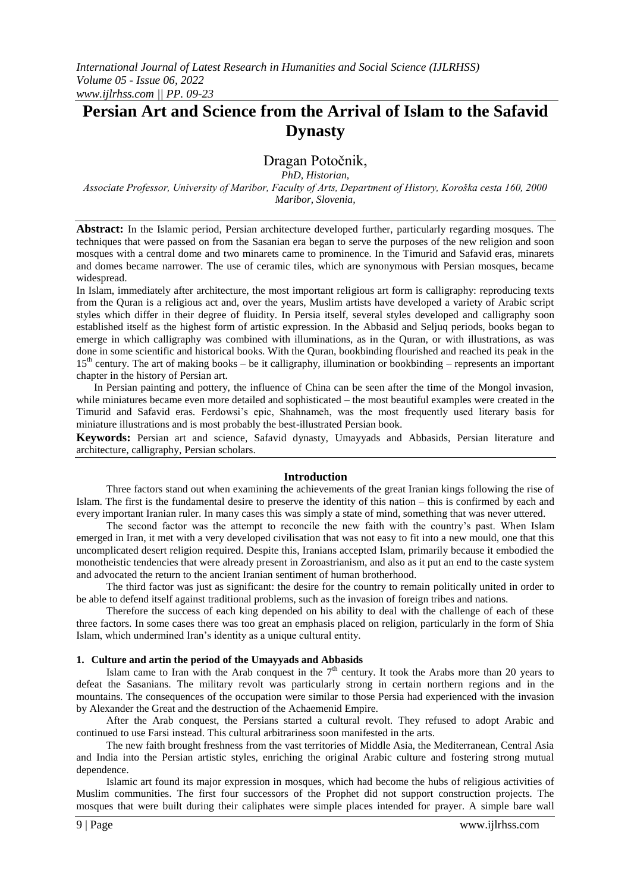# **Persian Art and Science from the Arrival of Islam to the Safavid Dynasty**

# Dragan Potoĉnik,

*PhD, Historian,*

*Associate Professor, University of Maribor, Faculty of Arts, Department of History, Koroška cesta 160, 2000 Maribor, Slovenia,*

**Abstract:** In the Islamic period, Persian architecture developed further, particularly regarding mosques. The techniques that were passed on from the Sasanian era began to serve the purposes of the new religion and soon mosques with a central dome and two minarets came to prominence. In the Timurid and Safavid eras, minarets and domes became narrower. The use of ceramic tiles, which are synonymous with Persian mosques, became widespread.

In Islam, immediately after architecture, the most important religious art form is calligraphy: reproducing texts from the Quran is a religious act and, over the years, Muslim artists have developed a variety of Arabic script styles which differ in their degree of fluidity. In Persia itself, several styles developed and calligraphy soon established itself as the highest form of artistic expression. In the Abbasid and Seljuq periods, books began to emerge in which calligraphy was combined with illuminations, as in the Quran, or with illustrations, as was done in some scientific and historical books. With the Quran, bookbinding flourished and reached its peak in the  $15<sup>th</sup>$  century. The art of making books – be it calligraphy, illumination or bookbinding – represents an important chapter in the history of Persian art.

In Persian painting and pottery, the influence of China can be seen after the time of the Mongol invasion, while miniatures became even more detailed and sophisticated – the most beautiful examples were created in the Timurid and Safavid eras. Ferdowsi"s epic, Shahnameh, was the most frequently used literary basis for miniature illustrations and is most probably the best-illustrated Persian book.

**Keywords:** Persian art and science, Safavid dynasty, Umayyads and Abbasids, Persian literature and architecture, calligraphy, Persian scholars.

### **Introduction**

Three factors stand out when examining the achievements of the great Iranian kings following the rise of Islam. The first is the fundamental desire to preserve the identity of this nation – this is confirmed by each and every important Iranian ruler. In many cases this was simply a state of mind, something that was never uttered.

The second factor was the attempt to reconcile the new faith with the country"s past. When Islam emerged in Iran, it met with a very developed civilisation that was not easy to fit into a new mould, one that this uncomplicated desert religion required. Despite this, Iranians accepted Islam, primarily because it embodied the monotheistic tendencies that were already present in Zoroastrianism, and also as it put an end to the caste system and advocated the return to the ancient Iranian sentiment of human brotherhood.

The third factor was just as significant: the desire for the country to remain politically united in order to be able to defend itself against traditional problems, such as the invasion of foreign tribes and nations.

Therefore the success of each king depended on his ability to deal with the challenge of each of these three factors. In some cases there was too great an emphasis placed on religion, particularly in the form of Shia Islam, which undermined Iran"s identity as a unique cultural entity.

### **1. Culture and artin the period of the Umayyads and Abbasids**

Islam came to Iran with the Arab conquest in the  $7<sup>th</sup>$  century. It took the Arabs more than 20 years to defeat the Sasanians. The military revolt was particularly strong in certain northern regions and in the mountains. The consequences of the occupation were similar to those Persia had experienced with the invasion by Alexander the Great and the destruction of the Achaemenid Empire.

After the Arab conquest, the Persians started a cultural revolt. They refused to adopt Arabic and continued to use Farsi instead. This cultural arbitrariness soon manifested in the arts.

The new faith brought freshness from the vast territories of Middle Asia, the Mediterranean, Central Asia and India into the Persian artistic styles, enriching the original Arabic culture and fostering strong mutual dependence.

Islamic art found its major expression in mosques, which had become the hubs of religious activities of Muslim communities. The first four successors of the Prophet did not support construction projects. The mosques that were built during their caliphates were simple places intended for prayer. A simple bare wall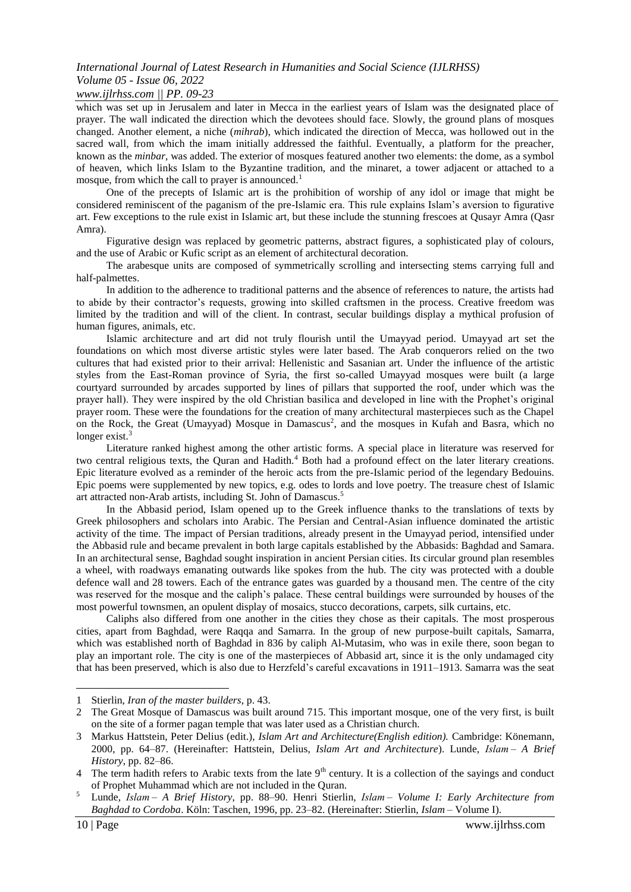### *www.ijlrhss.com || PP. 09-23*

which was set up in Jerusalem and later in Mecca in the earliest years of Islam was the designated place of prayer. The wall indicated the direction which the devotees should face. Slowly, the ground plans of mosques changed. Another element, a niche (*mihrab*), which indicated the direction of Mecca, was hollowed out in the sacred wall, from which the imam initially addressed the faithful. Eventually, a platform for the preacher, known as the *minbar*, was added. The exterior of mosques featured another two elements: the dome, as a symbol of heaven, which links Islam to the Byzantine tradition, and the minaret, a tower adjacent or attached to a mosque, from which the call to prayer is announced.<sup>1</sup>

One of the precepts of Islamic art is the prohibition of worship of any idol or image that might be considered reminiscent of the paganism of the pre-Islamic era. This rule explains Islam"s aversion to figurative art. Few exceptions to the rule exist in Islamic art, but these include the stunning frescoes at Qusayr Amra (Qasr Amra).

Figurative design was replaced by geometric patterns, abstract figures, a sophisticated play of colours, and the use of Arabic or Kufic script as an element of architectural decoration.

The arabesque units are composed of symmetrically scrolling and intersecting stems carrying full and half-palmettes.

In addition to the adherence to traditional patterns and the absence of references to nature, the artists had to abide by their contractor's requests, growing into skilled craftsmen in the process. Creative freedom was limited by the tradition and will of the client. In contrast, secular buildings display a mythical profusion of human figures, animals, etc.

Islamic architecture and art did not truly flourish until the Umayyad period. Umayyad art set the foundations on which most diverse artistic styles were later based. The Arab conquerors relied on the two cultures that had existed prior to their arrival: Hellenistic and Sasanian art. Under the influence of the artistic styles from the East-Roman province of Syria, the first so-called Umayyad mosques were built (a large courtyard surrounded by arcades supported by lines of pillars that supported the roof, under which was the prayer hall). They were inspired by the old Christian basilica and developed in line with the Prophet"s original prayer room. These were the foundations for the creation of many architectural masterpieces such as the Chapel on the Rock, the Great (Umayyad) Mosque in Damascus<sup>2</sup>, and the mosques in Kufah and Basra, which no longer exist. $3$ 

Literature ranked highest among the other artistic forms. A special place in literature was reserved for two central religious texts, the Quran and Hadith.<sup>4</sup> Both had a profound effect on the later literary creations. Epic literature evolved as a reminder of the heroic acts from the pre-Islamic period of the legendary Bedouins. Epic poems were supplemented by new topics, e.g. odes to lords and love poetry. The treasure chest of Islamic art attracted non-Arab artists, including St. John of Damascus.<sup>5</sup>

In the Abbasid period, Islam opened up to the Greek influence thanks to the translations of texts by Greek philosophers and scholars into Arabic. The Persian and Central-Asian influence dominated the artistic activity of the time. The impact of Persian traditions, already present in the Umayyad period, intensified under the Abbasid rule and became prevalent in both large capitals established by the Abbasids: Baghdad and Samara. In an architectural sense, Baghdad sought inspiration in ancient Persian cities. Its circular ground plan resembles a wheel, with roadways emanating outwards like spokes from the hub. The city was protected with a double defence wall and 28 towers. Each of the entrance gates was guarded by a thousand men. The centre of the city was reserved for the mosque and the caliph"s palace. These central buildings were surrounded by houses of the most powerful townsmen, an opulent display of mosaics, stucco decorations, carpets, silk curtains, etc.

Caliphs also differed from one another in the cities they chose as their capitals. The most prosperous cities, apart from Baghdad, were Raqqa and Samarra. In the group of new purpose-built capitals, Samarra, which was established north of Baghdad in 836 by caliph Al-Mutasim, who was in exile there, soon began to play an important role. The city is one of the masterpieces of Abbasid art, since it is the only undamaged city that has been preserved, which is also due to Herzfeld"s careful excavations in 1911–1913. Samarra was the seat

<sup>1</sup> Stierlin, *Iran of the master builders*, p. 43.

<sup>2</sup> The Great Mosque of Damascus was built around 715. This important mosque, one of the very first, is built on the site of a former pagan temple that was later used as a Christian church.

<sup>3</sup> Markus Hattstein, Peter Delius (edit.), *Islam Art and Architecture(English edition).* Cambridge: Könemann, 2000, pp. 64–87. (Hereinafter: Hattstein, Delius, *Islam Art and Architecture*). Lunde, *Islam – A Brief History*, pp. 82–86.

<sup>4</sup> The term hadith refers to Arabic texts from the late  $9<sup>th</sup>$  century. It is a collection of the sayings and conduct of Prophet Muhammad which are not included in the Quran.

<sup>5</sup> Lunde, *Islam – A Brief History*, pp. 88–90. Henri Stierlin, *Islam – Volume I: Early Architecture from Baghdad to Cordoba*. Köln: Taschen, 1996, pp. 23–82. (Hereinafter: Stierlin, *Islam* – Volume I).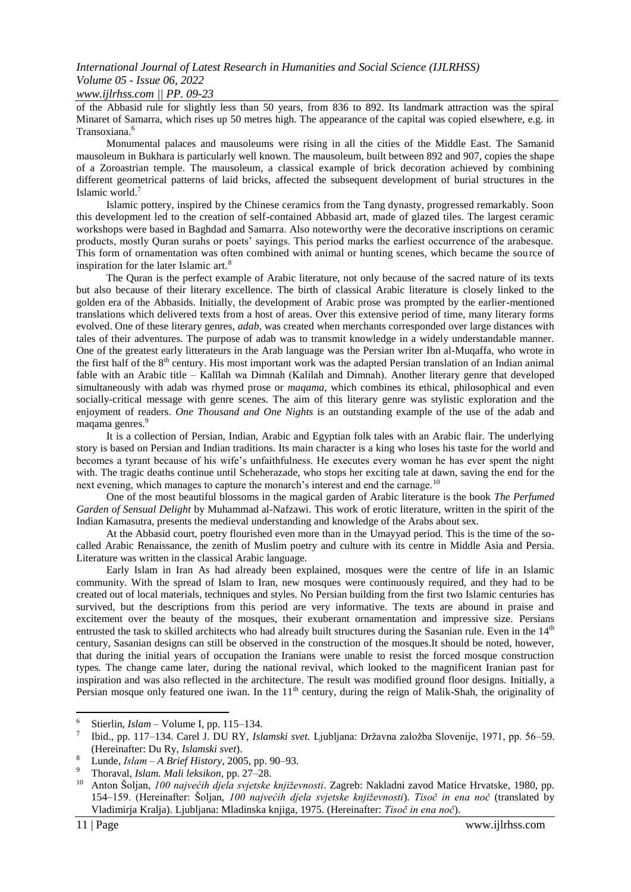of the Abbasid rule for slightly less than 50 years, from 836 to 892. Its landmark attraction was the spiral Minaret of Samarra, which rises up 50 metres high. The appearance of the capital was copied elsewhere, e.g. in Transoxiana.<sup>6</sup>

Monumental palaces and mausoleums were rising in all the cities of the Middle East. The Samanid mausoleum in Bukhara is particularly well known. The mausoleum, built between 892 and 907, copies the shape of a Zoroastrian temple. The mausoleum, a classical example of brick decoration achieved by combining different geometrical patterns of laid bricks, affected the subsequent development of burial structures in the Islamic world.<sup>7</sup>

Islamic pottery, inspired by the Chinese ceramics from the Tang dynasty, progressed remarkably. Soon this development led to the creation of self-contained Abbasid art, made of glazed tiles. The largest ceramic workshops were based in Baghdad and Samarra. Also noteworthy were the decorative inscriptions on ceramic products, mostly Quran surahs or poets" sayings. This period marks the earliest occurrence of the arabesque. This form of ornamentation was often combined with animal or hunting scenes, which became the source of inspiration for the later Islamic art.<sup>8</sup>

The Quran is the perfect example of Arabic literature, not only because of the sacred nature of its texts but also because of their literary excellence. The birth of classical Arabic literature is closely linked to the golden era of the Abbasids. Initially, the development of Arabic prose was prompted by the earlier-mentioned translations which delivered texts from a host of areas. Over this extensive period of time, many literary forms evolved. One of these literary genres, *adab*, was created when merchants corresponded over large distances with tales of their adventures. The purpose of adab was to transmit knowledge in a widely understandable manner. One of the greatest early litterateurs in the Arab language was the Persian writer Ibn al-Muqaffa, who wrote in the first half of the 8<sup>th</sup> century. His most important work was the adapted Persian translation of an Indian animal fable with an Arabic title – Kalīlah wa Dimnah (Kalilah and Dimnah). Another literary genre that developed simultaneously with adab was rhymed prose or *maqama*, which combines its ethical, philosophical and even socially-critical message with genre scenes. The aim of this literary genre was stylistic exploration and the enjoyment of readers. *One Thousand and One Nights* is an outstanding example of the use of the adab and maqama genres.<sup>9</sup>

It is a collection of Persian, Indian, Arabic and Egyptian folk tales with an Arabic flair. The underlying story is based on Persian and Indian traditions. Its main character is a king who loses his taste for the world and becomes a tyrant because of his wife"s unfaithfulness. He executes every woman he has ever spent the night with. The tragic deaths continue until Scheherazade, who stops her exciting tale at dawn, saving the end for the next evening, which manages to capture the monarch's interest and end the carnage.<sup>10</sup>

One of the most beautiful blossoms in the magical garden of Arabic literature is the book *The Perfumed Garden of Sensual Delight* by Muhammad al-Nafzawi. This work of erotic literature, written in the spirit of the Indian Kamasutra, presents the medieval understanding and knowledge of the Arabs about sex.

At the Abbasid court, poetry flourished even more than in the Umayyad period. This is the time of the socalled Arabic Renaissance, the zenith of Muslim poetry and culture with its centre in Middle Asia and Persia. Literature was written in the classical Arabic language.

Early Islam in Iran As had already been explained, mosques were the centre of life in an Islamic community. With the spread of Islam to Iran, new mosques were continuously required, and they had to be created out of local materials, techniques and styles. No Persian building from the first two Islamic centuries has survived, but the descriptions from this period are very informative. The texts are abound in praise and excitement over the beauty of the mosques, their exuberant ornamentation and impressive size. Persians entrusted the task to skilled architects who had already built structures during the Sasanian rule. Even in the 14<sup>th</sup> century, Sasanian designs can still be observed in the construction of the mosques.It should be noted, however, that during the initial years of occupation the Iranians were unable to resist the forced mosque construction types. The change came later, during the national revival, which looked to the magnificent Iranian past for inspiration and was also reflected in the architecture. The result was modified ground floor designs. Initially, a Persian mosque only featured one iwan. In the 11<sup>th</sup> century, during the reign of Malik-Shah, the originality of

<sup>6</sup> Stierlin, *Islam* – Volume I, pp. 115–134.

<sup>7</sup> Ibid., pp. 117–134. Carel J. DU RY, *Islamski svet.* Ljubljana: Državna založba Slovenije, 1971, pp. 56–59. (Hereinafter: Du Ry, *Islamski svet*).

<sup>8</sup> Lunde, *Islam – A Brief History*, 2005, pp. 90–93.

<sup>9</sup> Thoraval, *Islam. Mali leksikon*, pp. 27–28.

<sup>10</sup> Anton Šoljan, *100 najvećih djela svjetske književnosti*. Zagreb: Nakladni zavod Matice Hrvatske, 1980, pp. 154–159. (Hereinafter: Šoljan, *100 najvećih djela svjetske književnosti*). *Tisoč in ena noč* (translated by Vladimirja Kralja). Ljubljana: Mladinska knjiga, 1975. (Hereinafter: *Tisoč in ena noč*).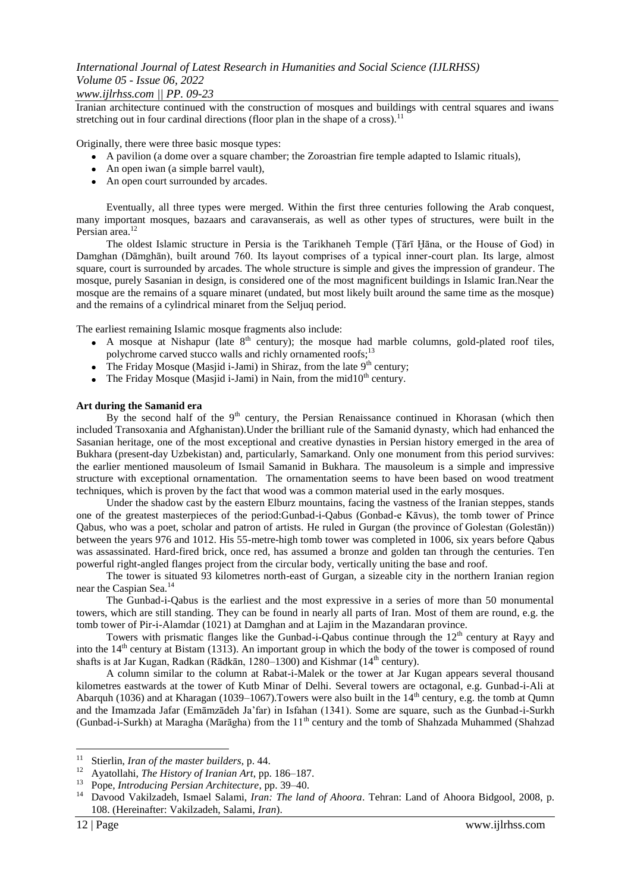### *www.ijlrhss.com || PP. 09-23*

Iranian architecture continued with the construction of mosques and buildings with central squares and iwans stretching out in four cardinal directions (floor plan in the shape of a cross).<sup>11</sup>

Originally, there were three basic mosque types:

- A pavilion (a dome over a square chamber; the Zoroastrian fire temple adapted to Islamic rituals),
- An open iwan (a simple barrel vault),
- An open court surrounded by arcades.

Eventually, all three types were merged. Within the first three centuries following the Arab conquest, many important mosques, bazaars and caravanserais, as well as other types of structures, were built in the Persian area.<sup>12</sup>

The oldest Islamic structure in Persia is the Tarikhaneh Temple (Ṭārī Ḫāna, or the House of God) in Damghan (Dāmghān), built around 760. Its layout comprises of a typical inner-court plan. Its large, almost square, court is surrounded by arcades. The whole structure is simple and gives the impression of grandeur. The mosque, purely Sasanian in design, is considered one of the most magnificent buildings in Islamic Iran.Near the mosque are the remains of a square minaret (undated, but most likely built around the same time as the mosque) and the remains of a cylindrical minaret from the Seljuq period.

The earliest remaining Islamic mosque fragments also include:

- A mosque at Nishapur (late  $8<sup>th</sup>$  century); the mosque had marble columns, gold-plated roof tiles, polychrome carved stucco walls and richly ornamented roofs;<sup>13</sup>
- The Friday Mosque (Masjid i-Jami) in Shiraz, from the late  $9<sup>th</sup>$  century;
- The Friday Mosque (Masjid i-Jami) in Nain, from the mid $10<sup>th</sup>$  century.

#### **Art during the Samanid era**

By the second half of the  $9<sup>th</sup>$  century, the Persian Renaissance continued in Khorasan (which then included Transoxania and Afghanistan).Under the brilliant rule of the Samanid dynasty, which had enhanced the Sasanian heritage, one of the most exceptional and creative dynasties in Persian history emerged in the area of Bukhara (present-day Uzbekistan) and, particularly, Samarkand. Only one monument from this period survives: the earlier mentioned mausoleum of Ismail Samanid in Bukhara. The mausoleum is a simple and impressive structure with exceptional ornamentation. The ornamentation seems to have been based on wood treatment techniques, which is proven by the fact that wood was a common material used in the early mosques.

Under the shadow cast by the eastern Elburz mountains, facing the vastness of the Iranian steppes, stands one of the greatest masterpieces of the period:Gunbad-i-Qabus (Gonbad-e Kāvus), the tomb tower of Prince Qabus, who was a poet, scholar and patron of artists. He ruled in Gurgan (the province of Golestan (Golestān)) between the years 976 and 1012. His 55-metre-high tomb tower was completed in 1006, six years before Qabus was assassinated. Hard-fired brick, once red, has assumed a bronze and golden tan through the centuries. Ten powerful right-angled flanges project from the circular body, vertically uniting the base and roof.

The tower is situated 93 kilometres north-east of Gurgan, a sizeable city in the northern Iranian region near the Caspian Sea.<sup>14</sup>

The Gunbad-i-Qabus is the earliest and the most expressive in a series of more than 50 monumental towers, which are still standing. They can be found in nearly all parts of Iran. Most of them are round, e.g. the tomb tower of Pir-i-Alamdar (1021) at Damghan and at Lajim in the Mazandaran province.

Towers with prismatic flanges like the Gunbad-i-Qabus continue through the  $12<sup>th</sup>$  century at Rayy and into the 14<sup>th</sup> century at Bistam (1313). An important group in which the body of the tower is composed of round shafts is at Jar Kugan, Radkan (Rādkān, 1280–1300) and Kishmar (14<sup>th</sup> century).

A column similar to the column at Rabat-i-Malek or the tower at Jar Kugan appears several thousand kilometres eastwards at the tower of Kutb Minar of Delhi. Several towers are octagonal, e.g. Gunbad-i-Ali at Abarquh (1036) and at Kharagan (1039–1067). Towers were also built in the  $14<sup>th</sup>$  century, e.g. the tomb at Qumn and the Imamzada Jafar (Emāmzādeh Ja"far) in Isfahan (1341). Some are square, such as the Gunbad-i-Surkh (Gunbad-i-Surkh) at Maragha (Marāgha) from the  $11<sup>th</sup>$  century and the tomb of Shahzada Muhammed (Shahzad

<sup>11</sup> Stierlin, *Iran of the master builders*, p. 44.

<sup>12</sup> Ayatollahi, *The History of Iranian Art*, pp. 186–187.

<sup>13</sup> Pope, *Introducing Persian Architecture*, pp. 39–40.

<sup>14</sup> Davood Vakilzadeh, Ismael Salami, *Iran: The land of Ahoora*. Tehran: Land of Ahoora Bidgool, 2008, p. 108. (Hereinafter: Vakilzadeh, Salami, *Iran*).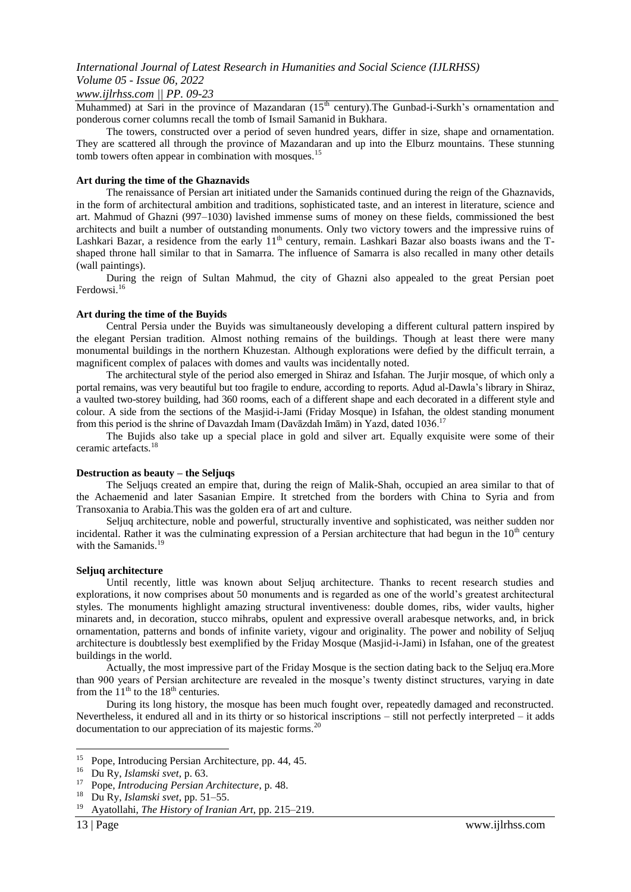### *www.ijlrhss.com || PP. 09-23*

Muhammed) at Sari in the province of Mazandaran  $(15<sup>th</sup>$  century). The Gunbad-i-Surkh's ornamentation and ponderous corner columns recall the tomb of Ismail Samanid in Bukhara.

The towers, constructed over a period of seven hundred years, differ in size, shape and ornamentation. They are scattered all through the province of Mazandaran and up into the Elburz mountains. These stunning tomb towers often appear in combination with mosques.<sup>15</sup>

#### **Art during the time of the Ghaznavids**

The renaissance of Persian art initiated under the Samanids continued during the reign of the Ghaznavids, in the form of architectural ambition and traditions, sophisticated taste, and an interest in literature, science and art. Mahmud of Ghazni (997–1030) lavished immense sums of money on these fields, commissioned the best architects and built a number of outstanding monuments. Only two victory towers and the impressive ruins of Lashkari Bazar, a residence from the early  $11<sup>th</sup>$  century, remain. Lashkari Bazar also boasts iwans and the Tshaped throne hall similar to that in Samarra. The influence of Samarra is also recalled in many other details (wall paintings).

During the reign of Sultan Mahmud, the city of Ghazni also appealed to the great Persian poet Ferdowsi.<sup>16</sup>

### **Art during the time of the Buyids**

Central Persia under the Buyids was simultaneously developing a different cultural pattern inspired by the elegant Persian tradition. Almost nothing remains of the buildings. Though at least there were many monumental buildings in the northern Khuzestan. Although explorations were defied by the difficult terrain, a magnificent complex of palaces with domes and vaults was incidentally noted.

The architectural style of the period also emerged in Shiraz and Isfahan. The Jurjir mosque, of which only a portal remains, was very beautiful but too fragile to endure, according to reports. Aḍud al-Dawla"s library in Shiraz, a vaulted two-storey building, had 360 rooms, each of a different shape and each decorated in a different style and colour. A side from the sections of the Masjid-i-Jami (Friday Mosque) in Isfahan, the oldest standing monument from this period is the shrine of Davazdah Imam (Davāzdah Imām) in Yazd, dated 1036.<sup>17</sup>

The Bujids also take up a special place in gold and silver art. Equally exquisite were some of their ceramic artefacts.<sup>18</sup>

#### **Destruction as beauty – the Seljuqs**

The Seljuqs created an empire that, during the reign of Malik-Shah, occupied an area similar to that of the Achaemenid and later Sasanian Empire. It stretched from the borders with China to Syria and from Transoxania to Arabia.This was the golden era of art and culture.

Seljuq architecture, noble and powerful, structurally inventive and sophisticated, was neither sudden nor incidental. Rather it was the culminating expression of a Persian architecture that had begun in the  $10<sup>th</sup>$  century with the Samanids.<sup>19</sup>

#### **Seljuq architecture**

Until recently, little was known about Seljuq architecture. Thanks to recent research studies and explorations, it now comprises about 50 monuments and is regarded as one of the world"s greatest architectural styles. The monuments highlight amazing structural inventiveness: double domes, ribs, wider vaults, higher minarets and, in decoration, stucco mihrabs, opulent and expressive overall arabesque networks, and, in brick ornamentation, patterns and bonds of infinite variety, vigour and originality. The power and nobility of Seljuq architecture is doubtlessly best exemplified by the Friday Mosque (Masjid-i-Jami) in Isfahan, one of the greatest buildings in the world.

Actually, the most impressive part of the Friday Mosque is the section dating back to the Seljuq era.More than 900 years of Persian architecture are revealed in the mosque"s twenty distinct structures, varying in date from the  $11<sup>th</sup>$  to the  $18<sup>th</sup>$  centuries.

During its long history, the mosque has been much fought over, repeatedly damaged and reconstructed. Nevertheless, it endured all and in its thirty or so historical inscriptions – still not perfectly interpreted – it adds documentation to our appreciation of its majestic forms.<sup>20</sup>

 $15$ <sup>15</sup> Pope, Introducing Persian Architecture, pp. 44, 45.

<sup>16</sup> Du Ry, *Islamski svet*, p. 63.

<sup>17</sup> Pope, *Introducing Persian Architecture*, p. 48.

<sup>18</sup> Du Ry, *Islamski svet*, pp. 51–55.

<sup>19</sup> Ayatollahi, *The History of Iranian Art*, pp. 215–219.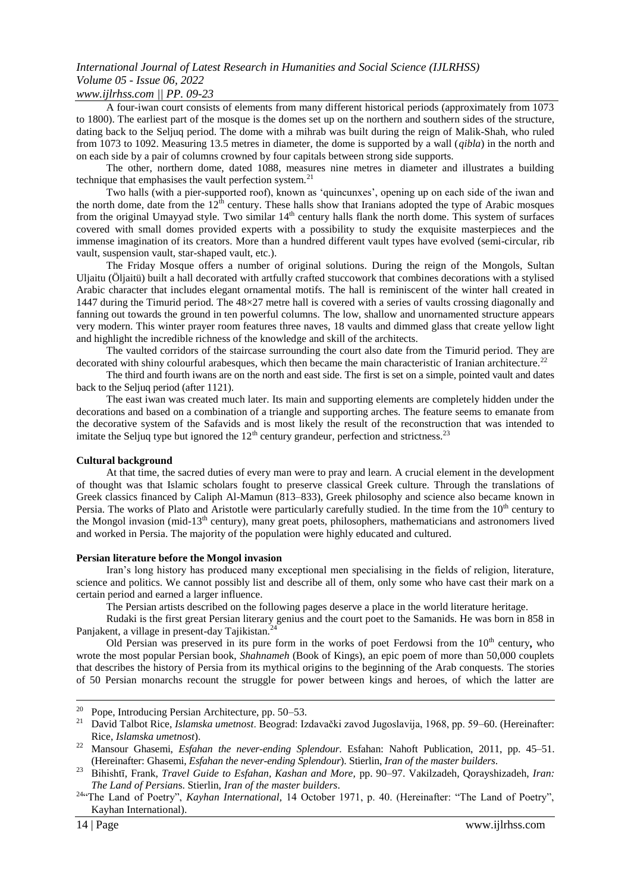### *www.ijlrhss.com || PP. 09-23*

A four-iwan court consists of elements from many different historical periods (approximately from 1073 to 1800). The earliest part of the mosque is the domes set up on the northern and southern sides of the structure, dating back to the Seljuq period. The dome with a mihrab was built during the reign of Malik-Shah, who ruled from 1073 to 1092. Measuring 13.5 metres in diameter, the dome is supported by a wall (*qibla*) in the north and on each side by a pair of columns crowned by four capitals between strong side supports.

The other, northern dome, dated 1088, measures nine metres in diameter and illustrates a building technique that emphasises the vault perfection system. $^{21}$ 

Two halls (with a pier-supported roof), known as "quincunxes", opening up on each side of the iwan and the north dome, date from the  $12<sup>th</sup>$  century. These halls show that Iranians adopted the type of Arabic mosques from the original Umayyad style. Two similar  $14<sup>th</sup>$  century halls flank the north dome. This system of surfaces covered with small domes provided experts with a possibility to study the exquisite masterpieces and the immense imagination of its creators. More than a hundred different vault types have evolved (semi-circular, rib vault, suspension vault, star-shaped vault, etc.).

The Friday Mosque offers a number of original solutions. During the reign of the Mongols, Sultan Uljaitu (Öljaitü) built a hall decorated with artfully crafted stuccowork that combines decorations with a stylised Arabic character that includes elegant ornamental motifs. The hall is reminiscent of the winter hall created in 1447 during the Timurid period. The 48×27 metre hall is covered with a series of vaults crossing diagonally and fanning out towards the ground in ten powerful columns. The low, shallow and unornamented structure appears very modern. This winter prayer room features three naves, 18 vaults and dimmed glass that create yellow light and highlight the incredible richness of the knowledge and skill of the architects.

The vaulted corridors of the staircase surrounding the court also date from the Timurid period. They are decorated with shiny colourful arabesques, which then became the main characteristic of Iranian architecture.<sup>22</sup>

The third and fourth iwans are on the north and east side. The first is set on a simple, pointed vault and dates back to the Seljuq period (after 1121).

The east iwan was created much later. Its main and supporting elements are completely hidden under the decorations and based on a combination of a triangle and supporting arches. The feature seems to emanate from the decorative system of the Safavids and is most likely the result of the reconstruction that was intended to imitate the Seljuq type but ignored the  $12<sup>th</sup>$  century grandeur, perfection and strictness.<sup>23</sup>

#### **Cultural background**

At that time, the sacred duties of every man were to pray and learn. A crucial element in the development of thought was that Islamic scholars fought to preserve classical Greek culture. Through the translations of Greek classics financed by Caliph Al-Mamun (813–833), Greek philosophy and science also became known in Persia. The works of Plato and Aristotle were particularly carefully studied. In the time from the 10<sup>th</sup> century to the Mongol invasion (mid-13<sup>th</sup> century), many great poets, philosophers, mathematicians and astronomers lived and worked in Persia. The majority of the population were highly educated and cultured.

#### **Persian literature before the Mongol invasion**

Iran"s long history has produced many exceptional men specialising in the fields of religion, literature, science and politics. We cannot possibly list and describe all of them, only some who have cast their mark on a certain period and earned a larger influence.

The Persian artists described on the following pages deserve a place in the world literature heritage.

Rudaki is the first great Persian literary genius and the court poet to the Samanids. He was born in 858 in Panjakent, a village in present-day Tajikistan.<sup>2</sup>

Old Persian was preserved in its pure form in the works of poet Ferdowsi from the 10<sup>th</sup> century, who wrote the most popular Persian book, *Shahnameh* (Book of Kings), an epic poem of more than 50,000 couplets that describes the history of Persia from its mythical origins to the beginning of the Arab conquests. The stories of 50 Persian monarchs recount the struggle for power between kings and heroes, of which the latter are

 $\overline{a}$ 

<sup>&</sup>lt;sup>20</sup> Pope, Introducing Persian Architecture, pp. 50–53.

<sup>21</sup> David Talbot Rice, *Islamska umetnost*. Beograd: Izdavaĉki zavod Jugoslavija, 1968, pp. 59–60. (Hereinafter: Rice, *Islamska umetnost*).

<sup>22</sup> Mansour Ghasemi, *Esfahan the never-ending Splendour*. Esfahan: Nahoft Publication, 2011, pp. 45–51. (Hereinafter: Ghasemi, *Esfahan the never-ending Splendour*). Stierlin, *Iran of the master builders*.

<sup>23</sup> Bihishtī, Frank, *Travel Guide to Esfahan, Kashan and More,* pp. 90–97. Vakilzadeh, Qorayshizadeh, *Iran: The Land of Persian*s. Stierlin, *Iran of the master builders*.

<sup>&</sup>lt;sup>24</sup>"The Land of Poetry", *Kayhan International*, 14 October 1971, p. 40. (Hereinafter: "The Land of Poetry", Kayhan International).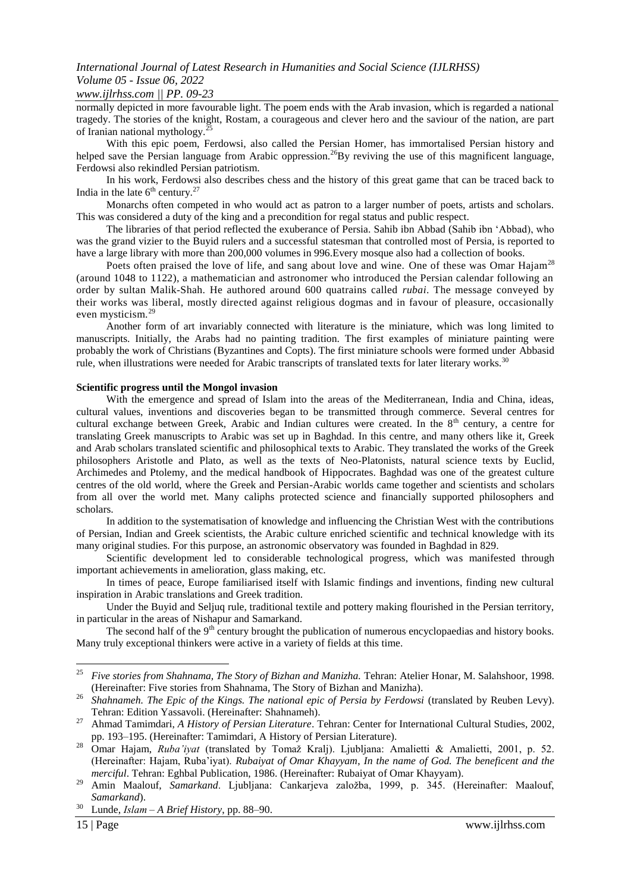### *www.ijlrhss.com || PP. 09-23*

normally depicted in more favourable light. The poem ends with the Arab invasion, which is regarded a national tragedy. The stories of the knight, Rostam, a courageous and clever hero and the saviour of the nation, are part of Iranian national mythology.<sup>25</sup>

With this epic poem, Ferdowsi, also called the Persian Homer, has immortalised Persian history and helped save the Persian language from Arabic oppression.<sup>26</sup>By reviving the use of this magnificent language, Ferdowsi also rekindled Persian patriotism.

In his work, Ferdowsi also describes chess and the history of this great game that can be traced back to India in the late  $6^{th}$  century.<sup>27</sup>

Monarchs often competed in who would act as patron to a larger number of poets, artists and scholars. This was considered a duty of the king and a precondition for regal status and public respect.

The libraries of that period reflected the exuberance of Persia. Sahib ibn Abbad (Sahib ibn "Abbad), who was the grand vizier to the Buyid rulers and a successful statesman that controlled most of Persia, is reported to have a large library with more than 200,000 volumes in 996.Every mosque also had a collection of books.

Poets often praised the love of life, and sang about love and wine. One of these was Omar Hajam<sup>28</sup> (around 1048 to 1122), a mathematician and astronomer who introduced the Persian calendar following an order by sultan Malik-Shah. He authored around 600 quatrains called *rubai*. The message conveyed by their works was liberal, mostly directed against religious dogmas and in favour of pleasure, occasionally even mysticism.<sup>29</sup>

Another form of art invariably connected with literature is the miniature, which was long limited to manuscripts. Initially, the Arabs had no painting tradition. The first examples of miniature painting were probably the work of Christians (Byzantines and Copts). The first miniature schools were formed under Abbasid rule, when illustrations were needed for Arabic transcripts of translated texts for later literary works.<sup>30</sup>

### **Scientific progress until the Mongol invasion**

With the emergence and spread of Islam into the areas of the Mediterranean, India and China, ideas, cultural values, inventions and discoveries began to be transmitted through commerce. Several centres for cultural exchange between Greek, Arabic and Indian cultures were created. In the 8<sup>th</sup> century, a centre for translating Greek manuscripts to Arabic was set up in Baghdad. In this centre, and many others like it, Greek and Arab scholars translated scientific and philosophical texts to Arabic. They translated the works of the Greek philosophers Aristotle and Plato, as well as the texts of Neo-Platonists, natural science texts by Euclid, Archimedes and Ptolemy, and the medical handbook of Hippocrates. Baghdad was one of the greatest culture centres of the old world, where the Greek and Persian-Arabic worlds came together and scientists and scholars from all over the world met. Many caliphs protected science and financially supported philosophers and scholars.

In addition to the systematisation of knowledge and influencing the Christian West with the contributions of Persian, Indian and Greek scientists, the Arabic culture enriched scientific and technical knowledge with its many original studies. For this purpose, an astronomic observatory was founded in Baghdad in 829.

Scientific development led to considerable technological progress, which was manifested through important achievements in amelioration, glass making, etc.

In times of peace, Europe familiarised itself with Islamic findings and inventions, finding new cultural inspiration in Arabic translations and Greek tradition.

Under the Buyid and Seljuq rule, traditional textile and pottery making flourished in the Persian territory, in particular in the areas of Nishapur and Samarkand.

The second half of the 9<sup>th</sup> century brought the publication of numerous encyclopaedias and history books. Many truly exceptional thinkers were active in a variety of fields at this time.

1

<sup>25</sup> *Five stories from Shahnama, The Story of Bizhan and Manizha.* Tehran: Atelier Honar, M. Salahshoor, 1998. (Hereinafter: Five stories from Shahnama, The Story of Bizhan and Manizha).

<sup>&</sup>lt;sup>26</sup> Shahnameh. The Epic of the Kings. The national epic of Persia by Ferdowsi (translated by Reuben Levy). Tehran: Edition Yassavoli. (Hereinafter: Shahnameh).

<sup>27</sup> Ahmad Tamimdari, *A History of Persian Literature*. Tehran: Center for International Cultural Studies, 2002, pp. 193–195. (Hereinafter: Tamimdari, A History of Persian Literature).

<sup>&</sup>lt;sup>28</sup> Omar Hajam, *Ruba'iyat* (translated by Tomaž Kralj). Ljubljana: Amalietti & Amalietti, 2001, p. 52. (Hereinafter: Hajam, Ruba"iyat). *Rubaiyat of Omar Khayyam*, *In the name of God. The beneficent and the merciful*. Tehran: Eghbal Publication, 1986. (Hereinafter: Rubaiyat of Omar Khayyam).

<sup>&</sup>lt;sup>29</sup> Amin Maalouf, Samarkand. Ljubljana: Cankarjeva založba, 1999, p. 345. (Hereinafter: Maalouf, *Samarkand*).

<sup>30</sup> Lunde, *Islam – A Brief History*, pp. 88–90.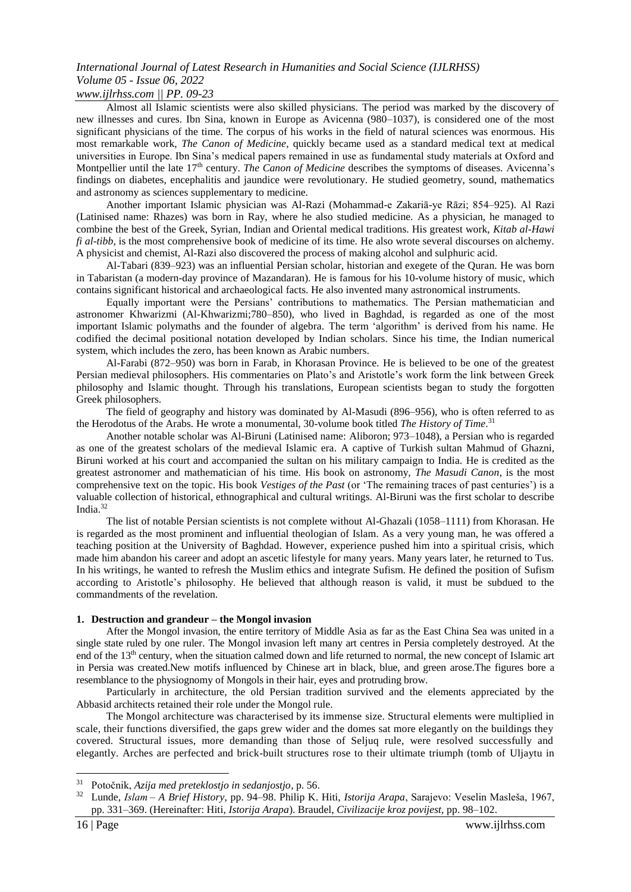### *www.ijlrhss.com || PP. 09-23*

Almost all Islamic scientists were also skilled physicians. The period was marked by the discovery of new illnesses and cures. Ibn Sina, known in Europe as Avicenna (980–1037), is considered one of the most significant physicians of the time. The corpus of his works in the field of natural sciences was enormous. His most remarkable work, *The Canon of Medicine*, quickly became used as a standard medical text at medical universities in Europe. Ibn Sina"s medical papers remained in use as fundamental study materials at Oxford and Montpellier until the late 17<sup>th</sup> century. *The Canon of Medicine* describes the symptoms of diseases. Avicenna's findings on diabetes, encephalitis and jaundice were revolutionary. He studied geometry, sound, mathematics and astronomy as sciences supplementary to medicine.

Another important Islamic physician was Al-Razi (Mohammad-e Zakariā-ye Rāzi; 854–925). Al Razi (Latinised name: Rhazes) was born in Ray, where he also studied medicine. As a physician, he managed to combine the best of the Greek, Syrian, Indian and Oriental medical traditions. His greatest work, *Kitab al-Hawi fi al-tibb*, is the most comprehensive book of medicine of its time. He also wrote several discourses on alchemy. A physicist and chemist, Al-Razi also discovered the process of making alcohol and sulphuric acid.

Al-Tabari (839–923) was an influential Persian scholar, historian and exegete of the Quran. He was born in Tabaristan (a modern-day province of Mazandaran). He is famous for his 10-volume history of music, which contains significant historical and archaeological facts. He also invented many astronomical instruments.

Equally important were the Persians" contributions to mathematics. The Persian mathematician and astronomer Khwarizmi (Al-Khwarizmi;780–850), who lived in Baghdad, is regarded as one of the most important Islamic polymaths and the founder of algebra. The term "algorithm" is derived from his name. He codified the decimal positional notation developed by Indian scholars. Since his time, the Indian numerical system, which includes the zero, has been known as Arabic numbers.

Al-Farabi (872–950) was born in Farab, in Khorasan Province. He is believed to be one of the greatest Persian medieval philosophers. His commentaries on Plato's and Aristotle's work form the link between Greek philosophy and Islamic thought. Through his translations, European scientists began to study the forgotten Greek philosophers.

The field of geography and history was dominated by Al-Masudi (896–956), who is often referred to as the Herodotus of the Arabs. He wrote a monumental, 30-volume book titled *The History of Time*. 31

Another notable scholar was Al-Biruni (Latinised name: Aliboron; 973–1048), a Persian who is regarded as one of the greatest scholars of the medieval Islamic era. A captive of Turkish sultan Mahmud of Ghazni, Biruni worked at his court and accompanied the sultan on his military campaign to India. He is credited as the greatest astronomer and mathematician of his time. His book on astronomy, *The Masudi Canon*, is the most comprehensive text on the topic. His book *Vestiges of the Past* (or "The remaining traces of past centuries") is a valuable collection of historical, ethnographical and cultural writings. Al-Biruni was the first scholar to describe India.<sup>32</sup>

The list of notable Persian scientists is not complete without Al-Ghazali (1058–1111) from Khorasan. He is regarded as the most prominent and influential theologian of Islam. As a very young man, he was offered a teaching position at the University of Baghdad. However, experience pushed him into a spiritual crisis, which made him abandon his career and adopt an ascetic lifestyle for many years. Many years later, he returned to Tus. In his writings, he wanted to refresh the Muslim ethics and integrate Sufism. He defined the position of Sufism according to Aristotle"s philosophy. He believed that although reason is valid, it must be subdued to the commandments of the revelation.

#### **1. Destruction and grandeur – the Mongol invasion**

After the Mongol invasion, the entire territory of Middle Asia as far as the East China Sea was united in a single state ruled by one ruler. The Mongol invasion left many art centres in Persia completely destroyed. At the end of the 13th century, when the situation calmed down and life returned to normal, the new concept of Islamic art in Persia was created.New motifs influenced by Chinese art in black, blue, and green arose.The figures bore a resemblance to the physiognomy of Mongols in their hair, eyes and protruding brow.

Particularly in architecture, the old Persian tradition survived and the elements appreciated by the Abbasid architects retained their role under the Mongol rule.

The Mongol architecture was characterised by its immense size. Structural elements were multiplied in scale, their functions diversified, the gaps grew wider and the domes sat more elegantly on the buildings they covered. Structural issues, more demanding than those of Seljuq rule, were resolved successfully and elegantly. Arches are perfected and brick-built structures rose to their ultimate triumph (tomb of Uljaytu in

1

<sup>31</sup> Potoĉnik, *Azija med preteklostjo in sedanjostjo*, p. 56.

<sup>32</sup> Lunde, *Islam – A Brief History*, pp. 94–98. Philip K. Hiti, *Istorija Arapa*, Sarajevo: Veselin Masleša, 1967, pp. 331–369. (Hereinafter: Hiti, *Istorija Arapa*). Braudel, *Civilizacije kroz povijest*, pp. 98–102.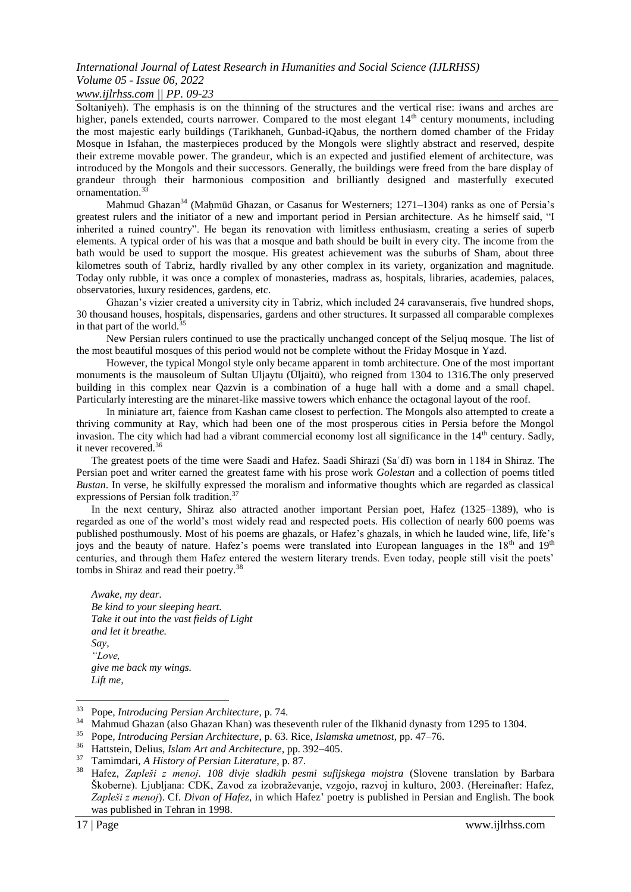### *www.ijlrhss.com || PP. 09-23*

Soltaniyeh). The emphasis is on the thinning of the structures and the vertical rise: iwans and arches are higher, panels extended, courts narrower. Compared to the most elegant  $14<sup>th</sup>$  century monuments, including the most majestic early buildings (Tarikhaneh, Gunbad-iQabus, the northern domed chamber of the Friday Mosque in Isfahan, the masterpieces produced by the Mongols were slightly abstract and reserved, despite their extreme movable power. The grandeur, which is an expected and justified element of architecture, was introduced by the Mongols and their successors. Generally, the buildings were freed from the bare display of grandeur through their harmonious composition and brilliantly designed and masterfully executed ornamentation.<sup>33</sup>

Mahmud Ghazan<sup>34</sup> (Mahmūd Ghazan, or Casanus for Westerners; 1271–1304) ranks as one of Persia's greatest rulers and the initiator of a new and important period in Persian architecture. As he himself said, "I inherited a ruined country". He began its renovation with limitless enthusiasm, creating a series of superb elements. A typical order of his was that a mosque and bath should be built in every city. The income from the bath would be used to support the mosque. His greatest achievement was the suburbs of Sham, about three kilometres south of Tabriz, hardly rivalled by any other complex in its variety, organization and magnitude. Today only rubble, it was once a complex of monasteries, madrass as, hospitals, libraries, academies, palaces, observatories, luxury residences, gardens, etc.

Ghazan"s vizier created a university city in Tabriz, which included 24 caravanserais, five hundred shops, 30 thousand houses, hospitals, dispensaries, gardens and other structures. It surpassed all comparable complexes in that part of the world. $35$ 

New Persian rulers continued to use the practically unchanged concept of the Seljuq mosque. The list of the most beautiful mosques of this period would not be complete without the Friday Mosque in Yazd.

However, the typical Mongol style only became apparent in tomb architecture. One of the most important monuments is the mausoleum of Sultan Uljaytu (Üljaitü), who reigned from 1304 to 1316.The only preserved building in this complex near Qazvin is a combination of a huge hall with a dome and a small chapel. Particularly interesting are the minaret-like massive towers which enhance the octagonal layout of the roof.

In miniature art, faience from Kashan came closest to perfection. The Mongols also attempted to create a thriving community at Ray, which had been one of the most prosperous cities in Persia before the Mongol invasion. The city which had had a vibrant commercial economy lost all significance in the 14<sup>th</sup> century. Sadly, it never recovered.<sup>36</sup>

The greatest poets of the time were Saadi and Hafez. Saadi Shirazi (Saʿdī) was born in 1184 in Shiraz. The Persian poet and writer earned the greatest fame with his prose work *Golestan* and a collection of poems titled *Bustan*. In verse, he skilfully expressed the moralism and informative thoughts which are regarded as classical expressions of Persian folk tradition.<sup>37</sup>

In the next century, Shiraz also attracted another important Persian poet, Hafez (1325–1389), who is regarded as one of the world"s most widely read and respected poets. His collection of nearly 600 poems was published posthumously. Most of his poems are ghazals, or Hafez"s ghazals, in which he lauded wine, life, life"s joys and the beauty of nature. Hafez's poems were translated into European languages in the 18<sup>th</sup> and 19<sup>th</sup> centuries, and through them Hafez entered the western literary trends. Even today, people still visit the poets' tombs in Shiraz and read their poetry.<sup>38</sup>

*Awake, my dear. Be kind to your sleeping heart. Take it out into the vast fields of Light and let it breathe. Say, "Love, give me back my wings. Lift me,* 

 $\overline{a}$ 

<sup>33</sup> Pope, *Introducing Persian Architecture*, p. 74.

<sup>&</sup>lt;sup>34</sup> Mahmud Ghazan (also Ghazan Khan) was theseventh ruler of the Ilkhanid dynasty from 1295 to 1304.

<sup>35</sup> Pope, *Introducing Persian Architecture*, p. 63. Rice, *Islamska umetnost*, pp. 47–76.

<sup>36</sup> Hattstein, Delius, *Islam Art and Architecture*, pp. 392–405.

<sup>37</sup> Tamimdari, *A History of Persian Literature*, p. 87.

<sup>38</sup> Hafez, *Zapleši z menoj. 108 divje sladkih pesmi sufijskega mojstra* (Slovene translation by Barbara Škoberne). Ljubljana: CDK, Zavod za izobraževanje, vzgojo, razvoj in kulturo, 2003. (Hereinafter: Hafez, *Zapleši z menoj*). Cf. *Divan of Hafez*, in which Hafez" poetry is published in Persian and English. The book was published in Tehran in 1998.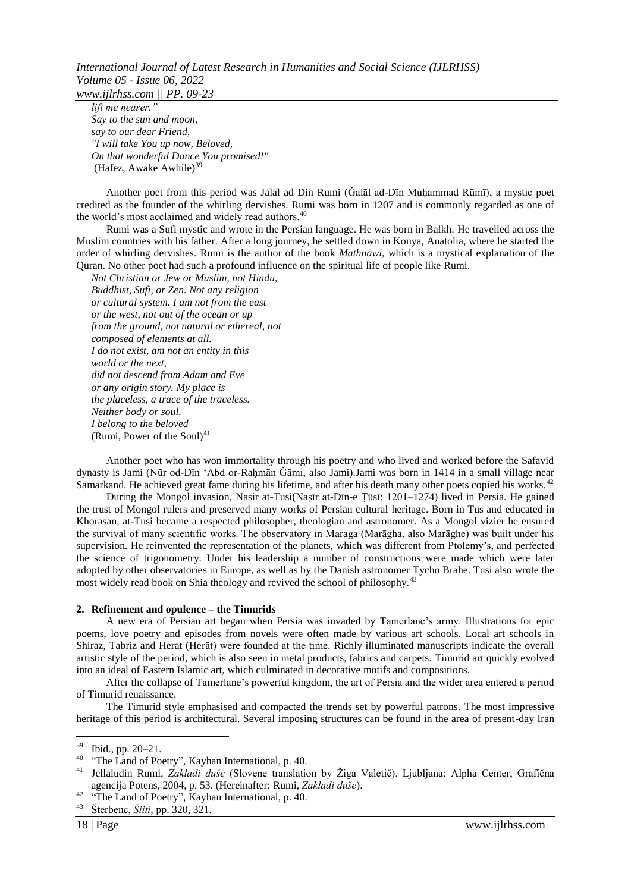*www.ijlrhss.com || PP. 09-23*

*lift me nearer." Say to the sun and moon, say to our dear Friend, "I will take You up now, Beloved, On that wonderful Dance You promised!"*  (Hafez, Awake Awhile)<sup>39</sup>

Another poet from this period was Jalal ad Din Rumi (Ǧalāl ad-Dīn Muḥammad Rūmī), a mystic poet credited as the founder of the whirling dervishes. Rumi was born in 1207 and is commonly regarded as one of the world's most acclaimed and widely read authors.<sup>40</sup>

Rumi was a Sufi mystic and wrote in the Persian language. He was born in Balkh. He travelled across the Muslim countries with his father. After a long journey, he settled down in Konya, Anatolia, where he started the order of whirling dervishes. Rumi is the author of the book *Mathnawi*, which is a mystical explanation of the Quran. No other poet had such a profound influence on the spiritual life of people like Rumi.

*Not Christian or Jew or Muslim, not Hindu, Buddhist, Sufi, or Zen. Not any religion or cultural system. I am not from the east or the west, not out of the ocean or up from the ground, not natural or ethereal, not composed of elements at all. I do not exist, am not an entity in this world or the next, did not descend from Adam and Eve or any origin story. My place is the placeless, a trace of the traceless. Neither body or soul. I belong to the beloved* (Rumi, Power of the Soul) $41$ 

Another poet who has won immortality through his poetry and who lived and worked before the Safavid dynasty is Jami (Nūr od-Dīn "Abd or-Raḥmān Ǧāmi, also Jami).Jami was born in 1414 in a small village near Samarkand. He achieved great fame during his lifetime, and after his death many other poets copied his works.<sup>42</sup>

During the Mongol invasion, Nasir at-Tusi(Naṣīr at-Dīn-e Ṭūsī; 1201–1274) lived in Persia. He gained the trust of Mongol rulers and preserved many works of Persian cultural heritage. Born in Tus and educated in Khorasan, at-Tusi became a respected philosopher, theologian and astronomer. As a Mongol vizier he ensured the survival of many scientific works. The observatory in Maraga (Marāgha, also Marāghe) was built under his supervision. He reinvented the representation of the planets, which was different from Ptolemy"s, and perfected the science of trigonometry. Under his leadership a number of constructions were made which were later adopted by other observatories in Europe, as well as by the Danish astronomer Tycho Brahe. Tusi also wrote the most widely read book on Shia theology and revived the school of philosophy.<sup>43</sup>

### **2. Refinement and opulence – the Timurids**

A new era of Persian art began when Persia was invaded by Tamerlane"s army. Illustrations for epic poems, love poetry and episodes from novels were often made by various art schools. Local art schools in Shiraz, Tabriz and Herat (Herāt) were founded at the time. Richly illuminated manuscripts indicate the overall artistic style of the period, which is also seen in metal products, fabrics and carpets. Timurid art quickly evolved into an ideal of Eastern Islamic art, which culminated in decorative motifs and compositions.

After the collapse of Tamerlane"s powerful kingdom, the art of Persia and the wider area entered a period of Timurid renaissance.

The Timurid style emphasised and compacted the trends set by powerful patrons. The most impressive heritage of this period is architectural. Several imposing structures can be found in the area of present-day Iran

1

 $39$  Ibid., pp. 20–21.

<sup>&</sup>lt;sup>40</sup> "The Land of Poetry", Kayhan International, p. 40.

<sup>41</sup> Jellaludin Rumi, *Zakladi duše* (Slovene translation by Ţiga Valetiĉ). Ljubljana: Alpha Center, Grafiĉna agencija Potens, 2004, p. 53. (Hereinafter: Rumi, *Zakladi duše*).

<sup>&</sup>lt;sup>42</sup> "The Land of Poetry", Kayhan International, p. 40.

<sup>43</sup> Šterbenc, *Šiiti*, pp. 320, 321.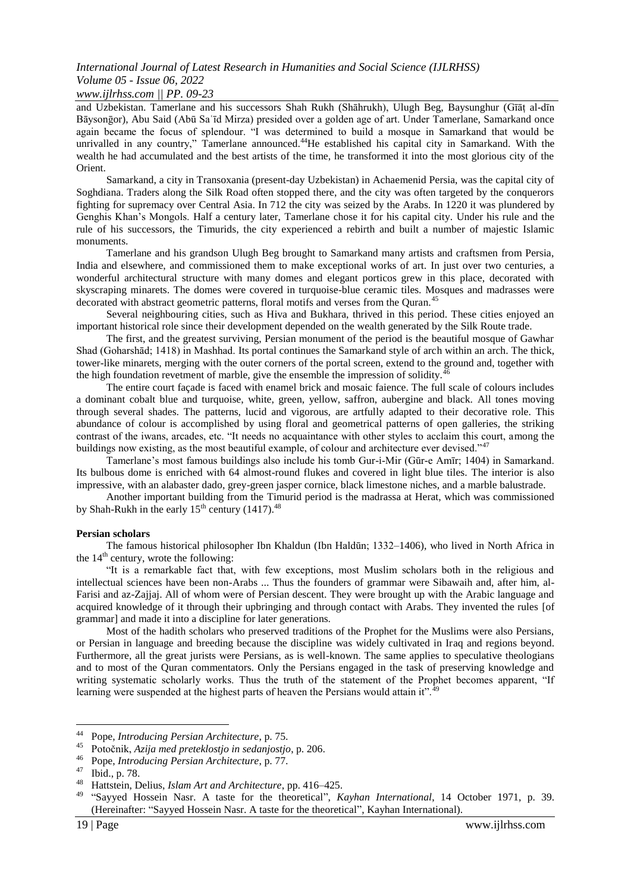### *www.ijlrhss.com || PP. 09-23*

and Uzbekistan. Tamerlane and his successors Shah Rukh (Shāhrukh), Ulugh Beg, Baysunghur (Gīāṭ al-dīn Bāysonḡor), Abu Said (Abū Saʿīd Mirza) presided over a golden age of art. Under Tamerlane, Samarkand once again became the focus of splendour. "I was determined to build a mosque in Samarkand that would be unrivalled in any country," Tamerlane announced.<sup>44</sup>He established his capital city in Samarkand. With the wealth he had accumulated and the best artists of the time, he transformed it into the most glorious city of the Orient.

Samarkand, a city in Transoxania (present-day Uzbekistan) in Achaemenid Persia, was the capital city of Soghdiana. Traders along the Silk Road often stopped there, and the city was often targeted by the conquerors fighting for supremacy over Central Asia. In 712 the city was seized by the Arabs. In 1220 it was plundered by Genghis Khan"s Mongols. Half a century later, Tamerlane chose it for his capital city. Under his rule and the rule of his successors, the Timurids, the city experienced a rebirth and built a number of majestic Islamic monuments.

Tamerlane and his grandson Ulugh Beg brought to Samarkand many artists and craftsmen from Persia, India and elsewhere, and commissioned them to make exceptional works of art. In just over two centuries, a wonderful architectural structure with many domes and elegant porticos grew in this place, decorated with skyscraping minarets. The domes were covered in turquoise-blue ceramic tiles. Mosques and madrasses were decorated with abstract geometric patterns, floral motifs and verses from the Quran.<sup>45</sup>

Several neighbouring cities, such as Hiva and Bukhara, thrived in this period. These cities enjoyed an important historical role since their development depended on the wealth generated by the Silk Route trade.

The first, and the greatest surviving, Persian monument of the period is the beautiful mosque of Gawhar Shad (Goharshād; 1418) in Mashhad. Its portal continues the Samarkand style of arch within an arch. The thick, tower-like minarets, merging with the outer corners of the portal screen, extend to the ground and, together with the high foundation revetment of marble, give the ensemble the impression of solidity.<sup>4</sup>

The entire court façade is faced with enamel brick and mosaic faience. The full scale of colours includes a dominant cobalt blue and turquoise, white, green, yellow, saffron, aubergine and black. All tones moving through several shades. The patterns, lucid and vigorous, are artfully adapted to their decorative role. This abundance of colour is accomplished by using floral and geometrical patterns of open galleries, the striking contrast of the iwans, arcades, etc. "It needs no acquaintance with other styles to acclaim this court, among the buildings now existing, as the most beautiful example, of colour and architecture ever devised."<sup>47</sup>

Tamerlane"s most famous buildings also include his tomb Gur-i-Mir (Gūr-e Amīr; 1404) in Samarkand. Its bulbous dome is enriched with 64 almost-round flukes and covered in light blue tiles. The interior is also impressive, with an alabaster dado, grey-green jasper cornice, black limestone niches, and a marble balustrade.

Another important building from the Timurid period is the madrassa at Herat, which was commissioned by Shah-Rukh in the early  $15<sup>th</sup>$  century (1417).<sup>48</sup>

#### **Persian scholars**

The famous historical philosopher Ibn Khaldun (Ibn Haldūn; 1332–1406), who lived in North Africa in the  $14<sup>th</sup>$  century, wrote the following:

"It is a remarkable fact that, with few exceptions, most Muslim scholars both in the religious and intellectual sciences have been non-Arabs ... Thus the founders of grammar were Sibawaih and, after him, al-Farisi and az-Zajjaj. All of whom were of Persian descent. They were brought up with the Arabic language and acquired knowledge of it through their upbringing and through contact with Arabs. They invented the rules [of grammar] and made it into a discipline for later generations.

Most of the hadith scholars who preserved traditions of the Prophet for the Muslims were also Persians, or Persian in language and breeding because the discipline was widely cultivated in Iraq and regions beyond. Furthermore, all the great jurists were Persians, as is well-known. The same applies to speculative theologians and to most of the Quran commentators. Only the Persians engaged in the task of preserving knowledge and writing systematic scholarly works. Thus the truth of the statement of the Prophet becomes apparent, "If learning were suspended at the highest parts of heaven the Persians would attain it".<sup>49</sup>

 $44$ <sup>44</sup> Pope, *Introducing Persian Architecture*, p. 75.

<sup>45</sup> Potoĉnik, *Azija med preteklostjo in sedanjostjo*, p. 206.

<sup>46</sup> Pope, *Introducing Persian Architecture*, p. 77.

<sup>47</sup> Ibid., p. 78.

<sup>48</sup> Hattstein, Delius, *Islam Art and Architecture*, pp. 416–425.

<sup>49</sup> "Sayyed Hossein Nasr. A taste for the theoretical", *Kayhan International*, 14 October 1971, p. 39. (Hereinafter: "Sayyed Hossein Nasr. A taste for the theoretical", Kayhan International).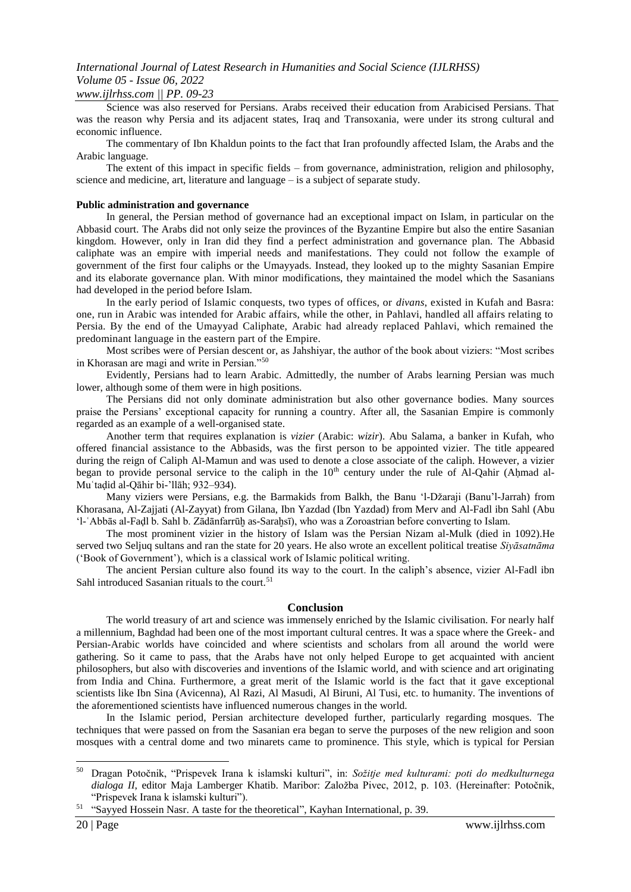### *www.ijlrhss.com || PP. 09-23*

Science was also reserved for Persians. Arabs received their education from Arabicised Persians. That was the reason why Persia and its adjacent states, Iraq and Transoxania, were under its strong cultural and economic influence.

The commentary of Ibn Khaldun points to the fact that Iran profoundly affected Islam, the Arabs and the Arabic language.

The extent of this impact in specific fields – from governance, administration, religion and philosophy, science and medicine, art, literature and language – is a subject of separate study.

#### **Public administration and governance**

In general, the Persian method of governance had an exceptional impact on Islam, in particular on the Abbasid court. The Arabs did not only seize the provinces of the Byzantine Empire but also the entire Sasanian kingdom. However, only in Iran did they find a perfect administration and governance plan. The Abbasid caliphate was an empire with imperial needs and manifestations. They could not follow the example of government of the first four caliphs or the Umayyads. Instead, they looked up to the mighty Sasanian Empire and its elaborate governance plan. With minor modifications, they maintained the model which the Sasanians had developed in the period before Islam.

In the early period of Islamic conquests, two types of offices, or *divans*, existed in Kufah and Basra: one, run in Arabic was intended for Arabic affairs, while the other, in Pahlavi, handled all affairs relating to Persia. By the end of the Umayyad Caliphate, Arabic had already replaced Pahlavi, which remained the predominant language in the eastern part of the Empire.

Most scribes were of Persian descent or, as Jahshiyar, the author of the book about viziers: "Most scribes in Khorasan are magi and write in Persian."<sup>50</sup>

Evidently, Persians had to learn Arabic. Admittedly, the number of Arabs learning Persian was much lower, although some of them were in high positions.

The Persians did not only dominate administration but also other governance bodies. Many sources praise the Persians' exceptional capacity for running a country. After all, the Sasanian Empire is commonly regarded as an example of a well-organised state.

Another term that requires explanation is *vizier* (Arabic: *wizir*). Abu Salama, a banker in Kufah, who offered financial assistance to the Abbasids, was the first person to be appointed vizier. The title appeared during the reign of Caliph Al-Mamun and was used to denote a close associate of the caliph. However, a vizier began to provide personal service to the caliph in the  $10<sup>th</sup>$  century under the rule of Al-Qahir (Ahmad al-Muʿtaḍid al-Qāhir bi-"llāh; 932–934).

Many viziers were Persians, e.g. the Barmakids from Balkh, the Banu 'l-Džaraji (Banu'l-Jarrah) from Khorasana, Al-Zajjati (Al-Zayyat) from Gilana, Ibn Yazdad (Ibn Yazdad) from Merv and Al-Fadl ibn Sahl (Abu "l-ʿAbbās al-Faḍl b. Sahl b. Zādānfarrūḫ as-Saraḫsī), who was a Zoroastrian before converting to Islam.

The most prominent vizier in the history of Islam was the Persian Nizam al-Mulk (died in 1092).He served two Seljuq sultans and ran the state for 20 years. He also wrote an excellent political treatise *Siyāsatnāma* ("Book of Government"), which is a classical work of Islamic political writing.

The ancient Persian culture also found its way to the court. In the caliph"s absence, vizier Al-Fadl ibn Sahl introduced Sasanian rituals to the court. $51$ 

#### **Conclusion**

The world treasury of art and science was immensely enriched by the Islamic civilisation. For nearly half a millennium, Baghdad had been one of the most important cultural centres. It was a space where the Greek- and Persian-Arabic worlds have coincided and where scientists and scholars from all around the world were gathering. So it came to pass, that the Arabs have not only helped Europe to get acquainted with ancient philosophers, but also with discoveries and inventions of the Islamic world, and with science and art originating from India and China. Furthermore, a great merit of the Islamic world is the fact that it gave exceptional scientists like Ibn Sina (Avicenna), Al Razi, Al Masudi, Al Biruni, Al Tusi, etc. to humanity. The inventions of the aforementioned scientists have influenced numerous changes in the world.

In the Islamic period, Persian architecture developed further, particularly regarding mosques. The techniques that were passed on from the Sasanian era began to serve the purposes of the new religion and soon mosques with a central dome and two minarets came to prominence. This style, which is typical for Persian

<sup>50</sup> Dragan Potoĉnik, "Prispevek Irana k islamski kulturi", in: *Sožitje med kulturami: poti do medkulturnega dialoga II*, editor Maja Lamberger Khatib. Maribor: Založba Pivec, 2012, p. 103. (Hereinafter: Potočnik, "Prispevek Irana k islamski kulturi").

<sup>&</sup>lt;sup>51</sup> "Sayyed Hossein Nasr. A taste for the theoretical", Kayhan International, p. 39.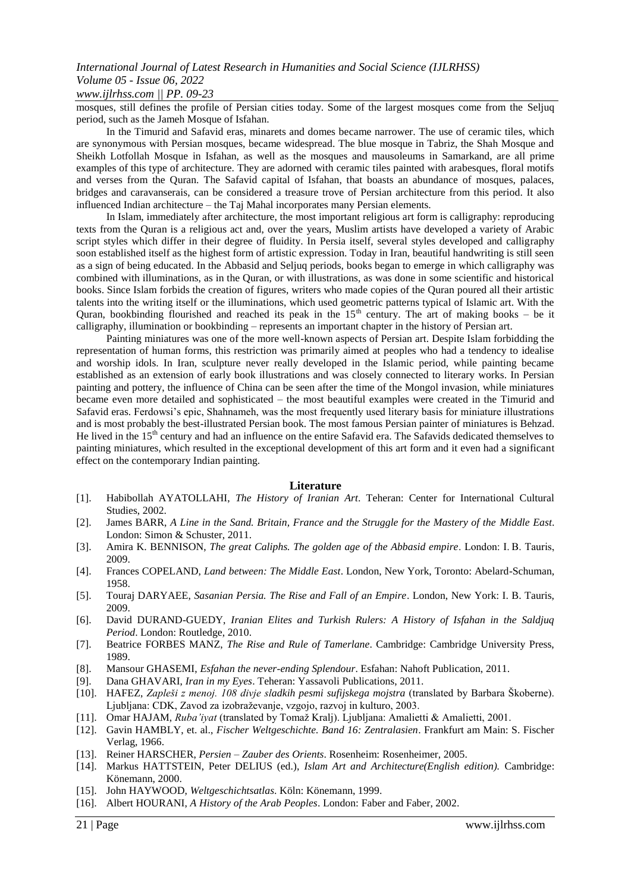### *www.ijlrhss.com || PP. 09-23*

mosques, still defines the profile of Persian cities today. Some of the largest mosques come from the Seljuq period, such as the Jameh Mosque of Isfahan.

In the Timurid and Safavid eras, minarets and domes became narrower. The use of ceramic tiles, which are synonymous with Persian mosques, became widespread. The blue mosque in Tabriz, the Shah Mosque and Sheikh Lotfollah Mosque in Isfahan, as well as the mosques and mausoleums in Samarkand, are all prime examples of this type of architecture. They are adorned with ceramic tiles painted with arabesques, floral motifs and verses from the Quran. The Safavid capital of Isfahan, that boasts an abundance of mosques, palaces, bridges and caravanserais, can be considered a treasure trove of Persian architecture from this period. It also influenced Indian architecture – the Taj Mahal incorporates many Persian elements.

In Islam, immediately after architecture, the most important religious art form is calligraphy: reproducing texts from the Quran is a religious act and, over the years, Muslim artists have developed a variety of Arabic script styles which differ in their degree of fluidity. In Persia itself, several styles developed and calligraphy soon established itself as the highest form of artistic expression. Today in Iran, beautiful handwriting is still seen as a sign of being educated. In the Abbasid and Seljuq periods, books began to emerge in which calligraphy was combined with illuminations, as in the Quran, or with illustrations, as was done in some scientific and historical books. Since Islam forbids the creation of figures, writers who made copies of the Quran poured all their artistic talents into the writing itself or the illuminations, which used geometric patterns typical of Islamic art. With the Quran, bookbinding flourished and reached its peak in the  $15<sup>th</sup>$  century. The art of making books – be it calligraphy, illumination or bookbinding – represents an important chapter in the history of Persian art.

Painting miniatures was one of the more well-known aspects of Persian art. Despite Islam forbidding the representation of human forms, this restriction was primarily aimed at peoples who had a tendency to idealise and worship idols. In Iran, sculpture never really developed in the Islamic period, while painting became established as an extension of early book illustrations and was closely connected to literary works. In Persian painting and pottery, the influence of China can be seen after the time of the Mongol invasion, while miniatures became even more detailed and sophisticated – the most beautiful examples were created in the Timurid and Safavid eras. Ferdowsi"s epic, Shahnameh, was the most frequently used literary basis for miniature illustrations and is most probably the best-illustrated Persian book. The most famous Persian painter of miniatures is Behzad. He lived in the 15<sup>th</sup> century and had an influence on the entire Safavid era. The Safavids dedicated themselves to painting miniatures, which resulted in the exceptional development of this art form and it even had a significant effect on the contemporary Indian painting.

#### **Literature**

- [1]. Habibollah AYATOLLAHI, *The History of Iranian Art*. Teheran: Center for International Cultural Studies, 2002.
- [2]. James BARR, *A Line in the Sand. Britain, France and the Struggle for the Mastery of the Middle East*. London: Simon & Schuster, 2011.
- [3]. Amira K. BENNISON, *The great Caliphs. The golden age of the Abbasid empire*. London: I. B. Tauris, 2009.
- [4]. Frances COPELAND, *Land between: The Middle East*. London, New York, Toronto: Abelard-Schuman, 1958.
- [5]. Touraj DARYAEE, *Sasanian Persia. The Rise and Fall of an Empire*. London, New York: I. B. Tauris, 2009.
- [6]. David DURAND-GUEDY, *Iranian Elites and Turkish Rulers: A History of Isfahan in the Saldjuq Period*. London: Routledge, 2010.
- [7]. Beatrice FORBES MANZ, *The Rise and Rule of Tamerlane*. Cambridge: Cambridge University Press, 1989.
- [8]. Mansour GHASEMI, *Esfahan the never-ending Splendour*. Esfahan: Nahoft Publication, 2011.
- [9]. Dana GHAVARI, *Iran in my Eyes*. Teheran: Yassavoli Publications, 2011.
- [10]. HAFEZ, *Zapleši z menoj. 108 divje sladkih pesmi sufijskega mojstra* (translated by Barbara Škoberne). Ljubljana: CDK, Zavod za izobraževanje, vzgojo, razvoj in kulturo, 2003.
- [11]. Omar HAJAM, *Ruba'iyat* (translated by Tomaž Kralj). Ljubljana: Amalietti & Amalietti, 2001.
- [12]. Gavin HAMBLY, et. al., *Fischer Weltgeschichte. Band 16: Zentralasien*. Frankfurt am Main: S. Fischer Verlag, 1966.
- [13]. Reiner HARSCHER, *Persien – Zauber des Orients*. Rosenheim: Rosenheimer, 2005.
- [14]. Markus HATTSTEIN, Peter DELIUS (ed.), *Islam Art and Architecture(English edition).* Cambridge: Könemann, 2000.
- [15]. John HAYWOOD, *Weltgeschichtsatlas*. Köln: Könemann, 1999.
- [16]. Albert HOURANI, *A History of the Arab Peoples*. London: Faber and Faber, 2002.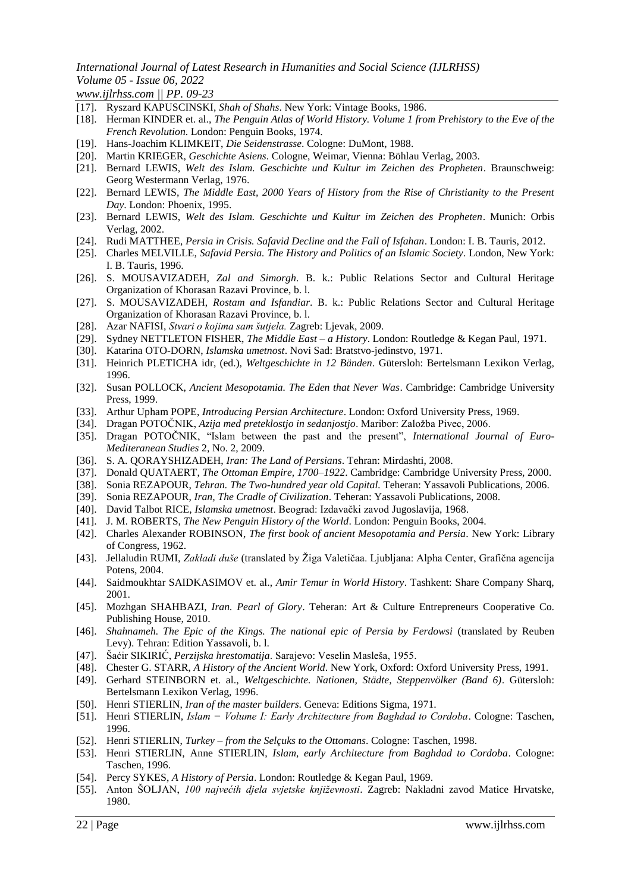*www.ijlrhss.com || PP. 09-23*

- [17]. Ryszard KAPUSCINSKI, *Shah of Shahs*. New York: Vintage Books, 1986.
- [18]. Herman KINDER et. al., *The Penguin Atlas of World History. Volume 1 from Prehistory to the Eve of the French Revolution*. London: Penguin Books, 1974.
- [19]. Hans-Joachim KLIMKEIT, *Die Seidenstrasse*. Cologne: DuMont, 1988.
- [20]. Martin KRIEGER, *Geschichte Asiens*. Cologne, Weimar, Vienna: Böhlau Verlag, 2003.
- [21]. Bernard LEWIS, *Welt des Islam. Geschichte und Kultur im Zeichen des Propheten*. Braunschweig: Georg Westermann Verlag, 1976.
- [22]. Bernard LEWIS, *The Middle East, 2000 Years of History from the Rise of Christianity to the Present Day*. London: Phoenix, 1995.
- [23]. Bernard LEWIS, *Welt des Islam. Geschichte und Kultur im Zeichen des Propheten*. Munich: Orbis Verlag, 2002.
- [24]. Rudi MATTHEE, *Persia in Crisis. Safavid Decline and the Fall of Isfahan*. London: I. B. Tauris, 2012.
- [25]. Charles MELVILLE, *Safavid Persia. The History and Politics of an Islamic Society*. London, New York: I. B. Tauris, 1996.
- [26]. S. MOUSAVIZADEH, *Zal and Simorgh*. B. k.: Public Relations Sector and Cultural Heritage Organization of Khorasan Razavi Province, b. l.
- [27]. S. MOUSAVIZADEH, *Rostam and Isfandiar*. B. k.: Public Relations Sector and Cultural Heritage Organization of Khorasan Razavi Province, b. l.
- [28]. Azar NAFISI, *Stvari o kojima sam šutjela.* Zagreb: Ljevak, 2009.
- [29]. Sydney NETTLETON FISHER, *The Middle East – a History*. London: Routledge & Kegan Paul, 1971.
- [30]. Katarina OTO-DORN, *Islamska umetnost*. Novi Sad: Bratstvo-jedinstvo, 1971.
- [31]. Heinrich PLETICHA idr, (ed.), *Weltgeschichte in 12 Bänden*. Gütersloh: Bertelsmann Lexikon Verlag, 1996.
- [32]. Susan POLLOCK, *Ancient Mesopotamia. The Eden that Never Was*. Cambridge: Cambridge University Press, 1999.
- [33]. Arthur Upham POPE, *Introducing Persian Architecture*. London: Oxford University Press, 1969.
- [34]. Dragan POTOČNIK, Azija med preteklostjo in sedanjostjo. Maribor: Založba Pivec, 2006.
- [35]. Dragan POTOĈNIK, "Islam between the past and the present", *International Journal of Euro-Mediteranean Studies* 2, No. 2, 2009.
- [36]. S. A. QORAYSHIZADEH, *Iran: The Land of Persians*. Tehran: Mirdashti, 2008.
- [37]. Donald QUATAERT, *The Ottoman Empire, 1700–1922*. Cambridge: Cambridge University Press, 2000.
- [38]. Sonia REZAPOUR, *Tehran. The Two-hundred year old Capital.* Teheran: Yassavoli Publications, 2006.
- [39]. Sonia REZAPOUR, *Iran, The Cradle of Civilization*. Teheran: Yassavoli Publications, 2008.
- [40]. David Talbot RICE, *Islamska umetnost*. Beograd: Izdavaĉki zavod Jugoslavija, 1968.
- [41]. J. M. ROBERTS, *The New Penguin History of the World*. London: Penguin Books, 2004.
- [42]. Charles Alexander ROBINSON, *The first book of ancient Mesopotamia and Persia*. New York: Library of Congress, 1962.
- [43]. Jellaludin RUMI, *Zakladi duše* (translated by Žiga Valetičaa. Ljubljana: Alpha Center, Grafična agencija Potens, 2004.
- [44]. Saidmoukhtar SAIDKASIMOV et. al., *Amir Temur in World History*. Tashkent: Share Company Sharq, 2001.
- [45]. Mozhgan SHAHBAZI, *Iran. Pearl of Glory*. Teheran: Art & Culture Entrepreneurs Cooperative Co. Publishing House, 2010.
- [46]. *Shahnameh. The Epic of the Kings. The national epic of Persia by Ferdowsi* (translated by Reuben Levy). Tehran: Edition Yassavoli, b. l.
- [47]. Šaćir SIKIRIĆ, *Perzijska hrestomatija*. Sarajevo: Veselin Masleša, 1955.
- [48]. Chester G. STARR, *A History of the Ancient World*. New York, Oxford: Oxford University Press, 1991.
- [49]. Gerhard STEINBORN et. al., *Weltgeschichte. Nationen, Städte, Steppenvölker (Band 6)*. Gütersloh: Bertelsmann Lexikon Verlag, 1996.
- [50]. Henri STIERLIN, *Iran of the master builders*. Geneva: Editions Sigma, 1971.
- [51]. Henri STIERLIN, *Islam − Volume I: Early Architecture from Baghdad to Cordoba*. Cologne: Taschen, 1996.
- [52]. Henri STIERLIN, *Turkey – from the Selçuks to the Ottomans*. Cologne: Taschen, 1998.
- [53]. Henri STIERLIN, Anne STIERLIN, *Islam, early Architecture from Baghdad to Cordoba*. Cologne: Taschen, 1996.
- [54]. Percy SYKES, *A History of Persia*. London: Routledge & Kegan Paul, 1969.
- [55]. Anton ŠOLJAN, *100 najvećih djela svjetske književnosti*. Zagreb: Nakladni zavod Matice Hrvatske, 1980.